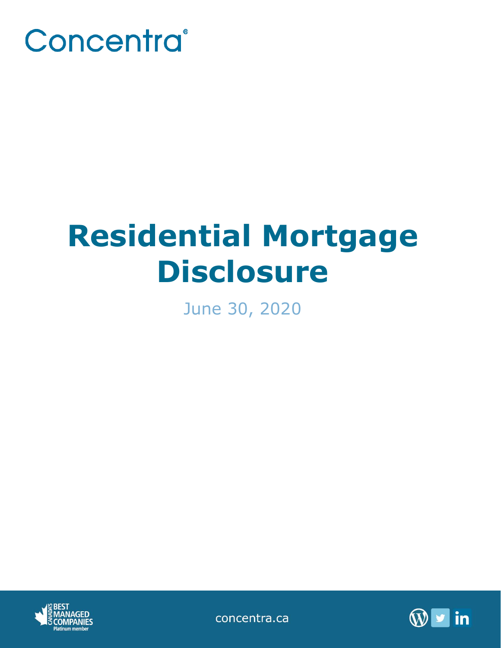

# **Residential Mortgage Disclosure**

June 30, 2020



concentra.ca

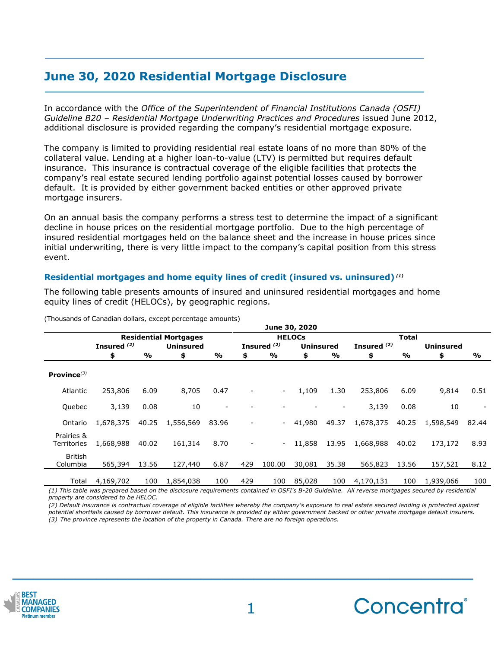# **June 30, 2020 Residential Mortgage Disclosure**

In accordance with the *Office of the Superintendent of Financial Institutions Canada (OSFI) Guideline B20 – Residential Mortgage Underwriting Practices and Procedures* issued June 2012, additional disclosure is provided regarding the company's residential mortgage exposure.

The company is limited to providing residential real estate loans of no more than 80% of the collateral value. Lending at a higher loan-to-value (LTV) is permitted but requires default insurance. This insurance is contractual coverage of the eligible facilities that protects the company's real estate secured lending portfolio against potential losses caused by borrower default. It is provided by either government backed entities or other approved private mortgage insurers.

On an annual basis the company performs a stress test to determine the impact of a significant decline in house prices on the residential mortgage portfolio. Due to the high percentage of insured residential mortgages held on the balance sheet and the increase in house prices since initial underwriting, there is very little impact to the company's capital position from this stress event.

## **Residential mortgages and home equity lines of credit (insured vs. uninsured)** *(1)*

The following table presents amounts of insured and uninsured residential mortgages and home equity lines of credit (HELOCs), by geographic regions.

|                            | June 30, 2020 |                              |                  |                          |                 |                        |                  |       |               |              |                  |                          |  |
|----------------------------|---------------|------------------------------|------------------|--------------------------|-----------------|------------------------|------------------|-------|---------------|--------------|------------------|--------------------------|--|
|                            |               | <b>Residential Mortgages</b> |                  |                          |                 | <b>HELOCS</b>          |                  |       |               | <b>Total</b> |                  |                          |  |
|                            | Insured $(2)$ |                              | <b>Uninsured</b> |                          |                 | Insured <sup>(2)</sup> | <b>Uninsured</b> |       | Insured $(2)$ |              | <b>Uninsured</b> |                          |  |
|                            | \$            | $\frac{1}{2}$                | \$               | %                        | \$              | %                      | \$               | %     | \$            | %            | \$               | %                        |  |
| Province $(3)$             |               |                              |                  |                          |                 |                        |                  |       |               |              |                  |                          |  |
| Atlantic                   | 253,806       | 6.09                         | 8,705            | 0.47                     |                 | $\sim$                 | 1,109            | 1.30  | 253,806       | 6.09         | 9,814            | 0.51                     |  |
| Quebec                     | 3,139         | 0.08                         | 10               | $\overline{\phantom{a}}$ |                 |                        |                  |       | 3,139         | 0.08         | 10               | $\overline{\phantom{a}}$ |  |
| Ontario                    | 1,678,375     | 40.25                        | 1,556,569        | 83.96                    | $\qquad \qquad$ |                        | 41,980           | 49.37 | 1,678,375     | 40.25        | 1,598,549        | 82.44                    |  |
| Prairies &<br>Territories  | 1,668,988     | 40.02                        | 161,314          | 8.70                     | $\overline{a}$  | $\sim$ $-$             | 11,858           | 13.95 | 1,668,988     | 40.02        | 173,172          | 8.93                     |  |
| <b>British</b><br>Columbia | 565,394       | 13.56                        | 127,440          | 6.87                     | 429             | 100.00                 | 30,081           | 35.38 | 565,823       | 13.56        | 157,521          | 8.12                     |  |
| Total                      | 4,169,702     | 100                          | 1,854,038        | 100                      | 429             | 100                    | 85,028           | 100   | 4,170,131     | 100          | 1,939,066        | 100                      |  |

(Thousands of Canadian dollars, except percentage amounts)

*(1) This table was prepared based on the disclosure requirements contained in OSFI's B-20 Guideline. All reverse mortgages secured by residential property are considered to be HELOC.*

*(2) Default insurance is contractual coverage of eligible facilities whereby the company's exposure to real estate secured lending is protected against potential shortfalls caused by borrower default. This insurance is provided by either government backed or other private mortgage default insurers. (3) The province represents the location of the property in Canada. There are no foreign operations.*



**\_\_\_\_\_\_\_\_\_\_\_\_\_\_\_\_\_\_\_\_\_\_\_\_\_\_\_\_\_\_\_\_\_\_\_\_\_\_\_\_\_\_\_\_**